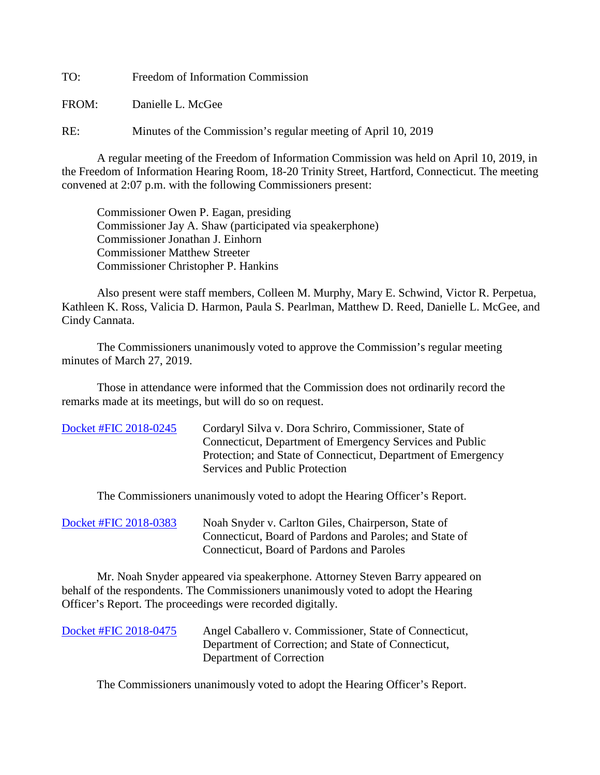TO: Freedom of Information Commission

FROM: Danielle L. McGee

RE: Minutes of the Commission's regular meeting of April 10, 2019

A regular meeting of the Freedom of Information Commission was held on April 10, 2019, in the Freedom of Information Hearing Room, 18-20 Trinity Street, Hartford, Connecticut. The meeting convened at 2:07 p.m. with the following Commissioners present:

 Commissioner Owen P. Eagan, presiding Commissioner Jay A. Shaw (participated via speakerphone) Commissioner Jonathan J. Einhorn Commissioner Matthew Streeter Commissioner Christopher P. Hankins

 Also present were staff members, Colleen M. Murphy, Mary E. Schwind, Victor R. Perpetua, Kathleen K. Ross, Valicia D. Harmon, Paula S. Pearlman, Matthew D. Reed, Danielle L. McGee, and Cindy Cannata.

The Commissioners unanimously voted to approve the Commission's regular meeting minutes of March 27, 2019.

 Those in attendance were informed that the Commission does not ordinarily record the remarks made at its meetings, but will do so on request.

| Docket #FIC 2018-0245 | Cordaryl Silva v. Dora Schriro, Commissioner, State of<br>Connecticut, Department of Emergency Services and Public |
|-----------------------|--------------------------------------------------------------------------------------------------------------------|
|                       | Protection; and State of Connecticut, Department of Emergency<br>Services and Public Protection                    |

The Commissioners unanimously voted to adopt the Hearing Officer's Report.

[Docket #FIC 2018-0383](https://www.ct.gov/foi/lib/foi/minutes/2019/april10/2018-0383.pdf) Noah Snyder v. Carlton Giles, Chairperson, State of Connecticut, Board of Pardons and Paroles; and State of Connecticut, Board of Pardons and Paroles

Mr. Noah Snyder appeared via speakerphone. Attorney Steven Barry appeared on behalf of the respondents. The Commissioners unanimously voted to adopt the Hearing Officer's Report. The proceedings were recorded digitally.

| Docket #FIC 2018-0475 | Angel Caballero v. Commissioner, State of Connecticut, |
|-----------------------|--------------------------------------------------------|
|                       | Department of Correction; and State of Connecticut,    |
|                       | Department of Correction                               |

The Commissioners unanimously voted to adopt the Hearing Officer's Report.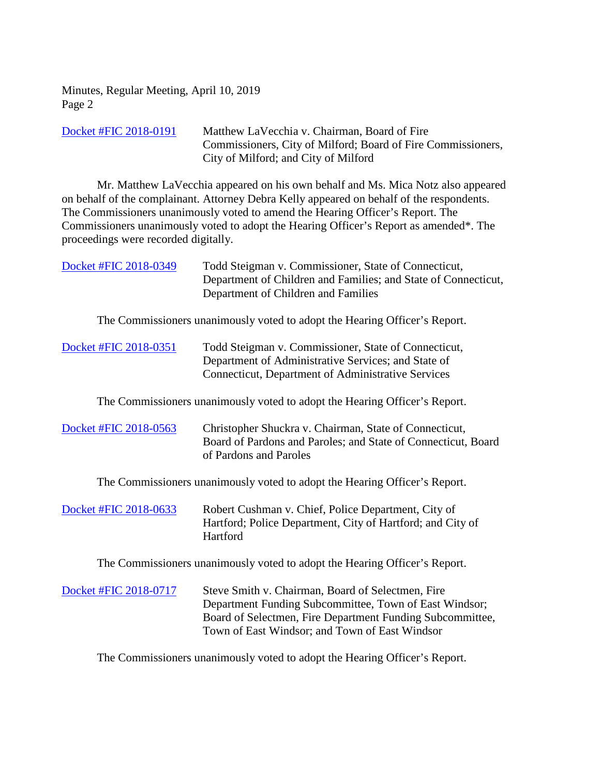| Docket #FIC 2018-0191 | Matthew LaVecchia v. Chairman, Board of Fire                 |
|-----------------------|--------------------------------------------------------------|
|                       | Commissioners, City of Milford; Board of Fire Commissioners, |
|                       | City of Milford; and City of Milford                         |

Mr. Matthew LaVecchia appeared on his own behalf and Ms. Mica Notz also appeared on behalf of the complainant. Attorney Debra Kelly appeared on behalf of the respondents. The Commissioners unanimously voted to amend the Hearing Officer's Report. The Commissioners unanimously voted to adopt the Hearing Officer's Report as amended\*. The proceedings were recorded digitally.

[Docket #FIC 2018-0349](https://www.ct.gov/foi/lib/foi/minutes/2019/april10/2018-0349.pdf) Todd Steigman v. Commissioner, State of Connecticut, Department of Children and Families; and State of Connecticut, Department of Children and Families

The Commissioners unanimously voted to adopt the Hearing Officer's Report.

| Docket #FIC 2018-0351 | Todd Steigman v. Commissioner, State of Connecticut, |
|-----------------------|------------------------------------------------------|
|                       | Department of Administrative Services; and State of  |
|                       | Connecticut, Department of Administrative Services   |

The Commissioners unanimously voted to adopt the Hearing Officer's Report.

| Docket #FIC 2018-0563 | Christopher Shuckra v. Chairman, State of Connecticut,        |
|-----------------------|---------------------------------------------------------------|
|                       | Board of Pardons and Paroles; and State of Connecticut, Board |
|                       | of Pardons and Paroles                                        |

The Commissioners unanimously voted to adopt the Hearing Officer's Report.

| Docket #FIC 2018-0633 | Robert Cushman v. Chief, Police Department, City of        |
|-----------------------|------------------------------------------------------------|
|                       | Hartford; Police Department, City of Hartford; and City of |
|                       | <b>Hartford</b>                                            |

The Commissioners unanimously voted to adopt the Hearing Officer's Report.

[Docket #FIC 2018-0717](https://www.ct.gov/foi/lib/foi/minutes/2019/april10/2018-0717.pdf) Steve Smith v. Chairman, Board of Selectmen, Fire Department Funding Subcommittee, Town of East Windsor; Board of Selectmen, Fire Department Funding Subcommittee, Town of East Windsor; and Town of East Windsor

The Commissioners unanimously voted to adopt the Hearing Officer's Report.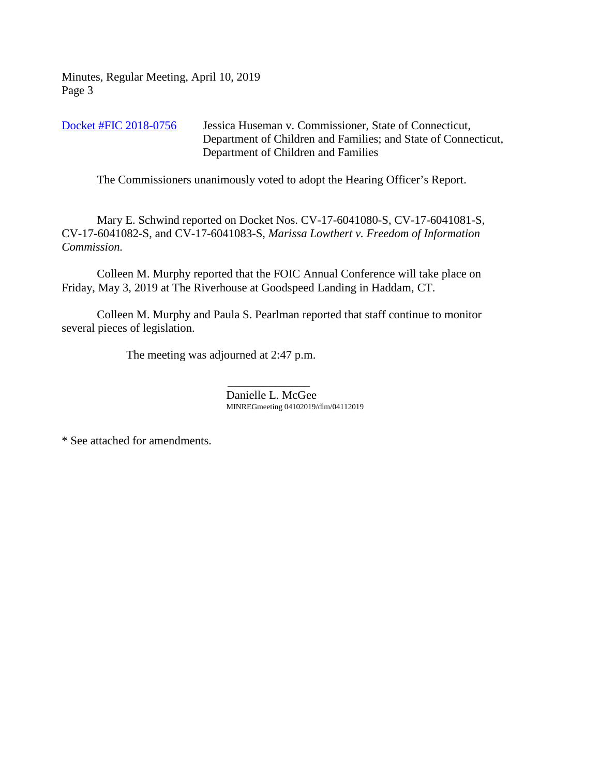[Docket #FIC 2018-0756](https://www.ct.gov/foi/lib/foi/minutes/2019/april10/2018-0756.pdf) Jessica Huseman v. Commissioner, State of Connecticut, Department of Children and Families; and State of Connecticut, Department of Children and Families

The Commissioners unanimously voted to adopt the Hearing Officer's Report.

Mary E. Schwind reported on Docket Nos. CV-17-6041080-S, CV-17-6041081-S, CV-17-6041082-S, and CV-17-6041083-S, *Marissa Lowthert v. Freedom of Information Commission.*

Colleen M. Murphy reported that the FOIC Annual Conference will take place on Friday, May 3, 2019 at The Riverhouse at Goodspeed Landing in Haddam, CT.

Colleen M. Murphy and Paula S. Pearlman reported that staff continue to monitor several pieces of legislation.

The meeting was adjourned at 2:47 p.m.

 $\mathcal{L}_\text{max}$  and  $\mathcal{L}_\text{max}$  and  $\mathcal{L}_\text{max}$  and  $\mathcal{L}_\text{max}$ Danielle L. McGee MINREGmeeting 04102019/dlm/04112019

\* See attached for amendments.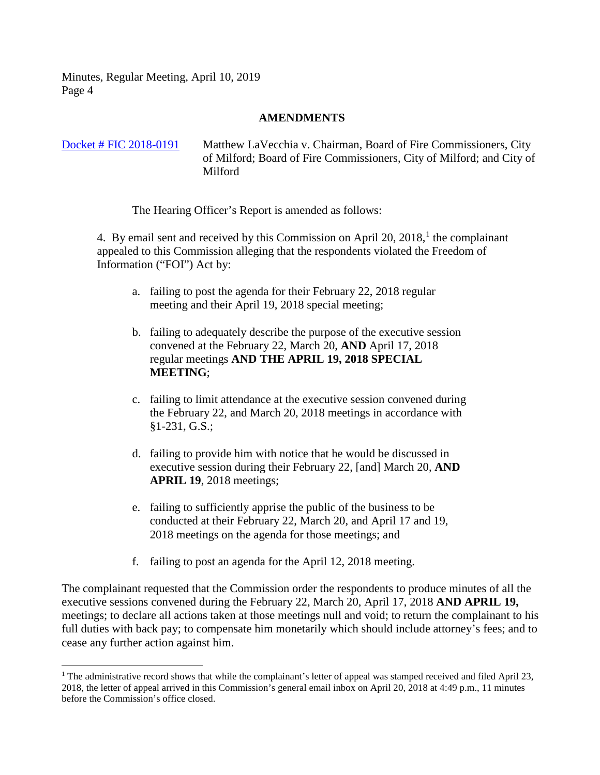## **AMENDMENTS**

## [Docket # FIC 2018-0191](https://www.ct.gov/foi/lib/foi/minutes/2019/april10/2018-0191.pdf) Matthew LaVecchia v. Chairman, Board of Fire Commissioners, City of Milford; Board of Fire Commissioners, City of Milford; and City of Milford

The Hearing Officer's Report is amended as follows:

4. By email sent and received by this Commission on April 20,  $2018<sup>1</sup>$  $2018<sup>1</sup>$  $2018<sup>1</sup>$ , the complainant appealed to this Commission alleging that the respondents violated the Freedom of Information ("FOI") Act by:

- a. failing to post the agenda for their February 22, 2018 regular meeting and their April 19, 2018 special meeting;
- b. failing to adequately describe the purpose of the executive session convened at the February 22, March 20, **AND** April 17, 2018 regular meetings **AND THE APRIL 19, 2018 SPECIAL MEETING**;
- c. failing to limit attendance at the executive session convened during the February 22, and March 20, 2018 meetings in accordance with §1-231, G.S.;
- d. failing to provide him with notice that he would be discussed in executive session during their February 22, [and] March 20, **AND APRIL 19**, 2018 meetings;
- e. failing to sufficiently apprise the public of the business to be conducted at their February 22, March 20, and April 17 and 19, 2018 meetings on the agenda for those meetings; and
- f. failing to post an agenda for the April 12, 2018 meeting.

The complainant requested that the Commission order the respondents to produce minutes of all the executive sessions convened during the February 22, March 20, April 17, 2018 **AND APRIL 19,** meetings; to declare all actions taken at those meetings null and void; to return the complainant to his full duties with back pay; to compensate him monetarily which should include attorney's fees; and to cease any further action against him.

<span id="page-3-0"></span><sup>&</sup>lt;sup>1</sup> The administrative record shows that while the complainant's letter of appeal was stamped received and filed April 23, 2018, the letter of appeal arrived in this Commission's general email inbox on April 20, 2018 at 4:49 p.m., 11 minutes before the Commission's office closed.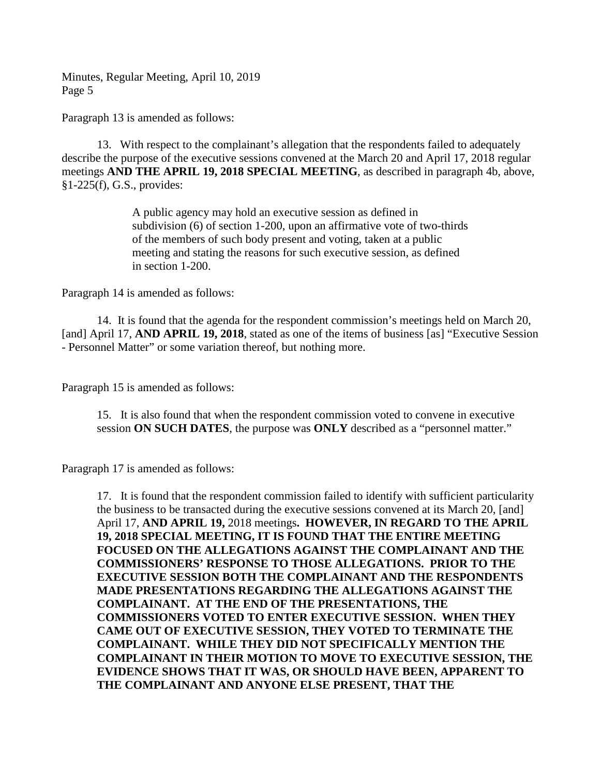Paragraph 13 is amended as follows:

13. With respect to the complainant's allegation that the respondents failed to adequately describe the purpose of the executive sessions convened at the March 20 and April 17, 2018 regular meetings **AND THE APRIL 19, 2018 SPECIAL MEETING**, as described in paragraph 4b, above, §1-225(f), G.S., provides:

> A public agency may hold an executive session as defined in subdivision (6) of section 1-200, upon an affirmative vote of two-thirds of the members of such body present and voting, taken at a public meeting and stating the reasons for such executive session, as defined in section 1-200.

Paragraph 14 is amended as follows:

14. It is found that the agenda for the respondent commission's meetings held on March 20, [and] April 17, **AND APRIL 19, 2018**, stated as one of the items of business [as] "Executive Session - Personnel Matter" or some variation thereof, but nothing more.

Paragraph 15 is amended as follows:

15. It is also found that when the respondent commission voted to convene in executive session **ON SUCH DATES**, the purpose was **ONLY** described as a "personnel matter."

Paragraph 17 is amended as follows:

17. It is found that the respondent commission failed to identify with sufficient particularity the business to be transacted during the executive sessions convened at its March 20, [and] April 17, **AND APRIL 19,** 2018 meetings**. HOWEVER, IN REGARD TO THE APRIL 19, 2018 SPECIAL MEETING, IT IS FOUND THAT THE ENTIRE MEETING FOCUSED ON THE ALLEGATIONS AGAINST THE COMPLAINANT AND THE COMMISSIONERS' RESPONSE TO THOSE ALLEGATIONS. PRIOR TO THE EXECUTIVE SESSION BOTH THE COMPLAINANT AND THE RESPONDENTS MADE PRESENTATIONS REGARDING THE ALLEGATIONS AGAINST THE COMPLAINANT. AT THE END OF THE PRESENTATIONS, THE COMMISSIONERS VOTED TO ENTER EXECUTIVE SESSION. WHEN THEY CAME OUT OF EXECUTIVE SESSION, THEY VOTED TO TERMINATE THE COMPLAINANT. WHILE THEY DID NOT SPECIFICALLY MENTION THE COMPLAINANT IN THEIR MOTION TO MOVE TO EXECUTIVE SESSION, THE EVIDENCE SHOWS THAT IT WAS, OR SHOULD HAVE BEEN, APPARENT TO THE COMPLAINANT AND ANYONE ELSE PRESENT, THAT THE**